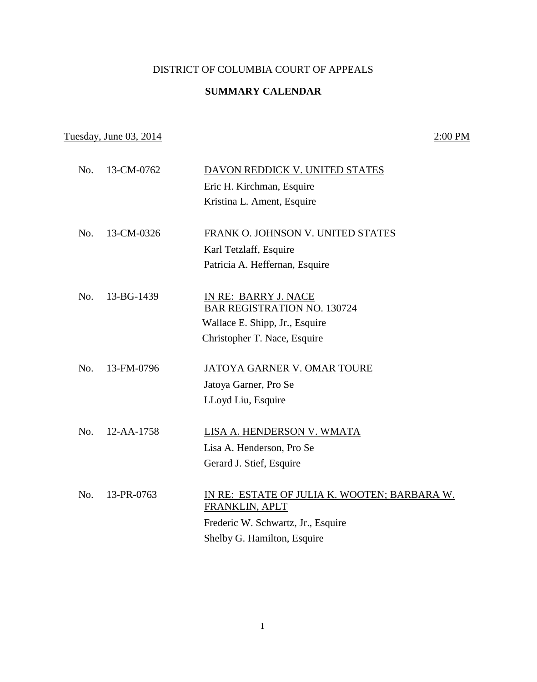## DISTRICT OF COLUMBIA COURT OF APPEALS

## **SUMMARY CALENDAR**

## Tuesday, June 03, 2014 2:00 PM

| No. | 13-CM-0762       | DAVON REDDICK V. UNITED STATES                                 |
|-----|------------------|----------------------------------------------------------------|
|     |                  | Eric H. Kirchman, Esquire                                      |
|     |                  | Kristina L. Ament, Esquire                                     |
| No. | 13-CM-0326       | FRANK O. JOHNSON V. UNITED STATES                              |
|     |                  | Karl Tetzlaff, Esquire                                         |
|     |                  | Patricia A. Heffernan, Esquire                                 |
| No. | 13-BG-1439       | IN RE: BARRY J. NACE                                           |
|     |                  | <b>BAR REGISTRATION NO. 130724</b>                             |
|     |                  | Wallace E. Shipp, Jr., Esquire                                 |
|     |                  | Christopher T. Nace, Esquire                                   |
| No. | 13-FM-0796       | JATOYA GARNER V. OMAR TOURE                                    |
|     |                  | Jatoya Garner, Pro Se                                          |
|     |                  | LLoyd Liu, Esquire                                             |
| No. | $12 - AA - 1758$ | LISA A. HENDERSON V. WMATA                                     |
|     |                  | Lisa A. Henderson, Pro Se                                      |
|     |                  | Gerard J. Stief, Esquire                                       |
|     |                  |                                                                |
| No. | 13-PR-0763       | IN RE: ESTATE OF JULIA K. WOOTEN; BARBARA W.<br>FRANKLIN, APLT |
|     |                  | Frederic W. Schwartz, Jr., Esquire                             |
|     |                  | Shelby G. Hamilton, Esquire                                    |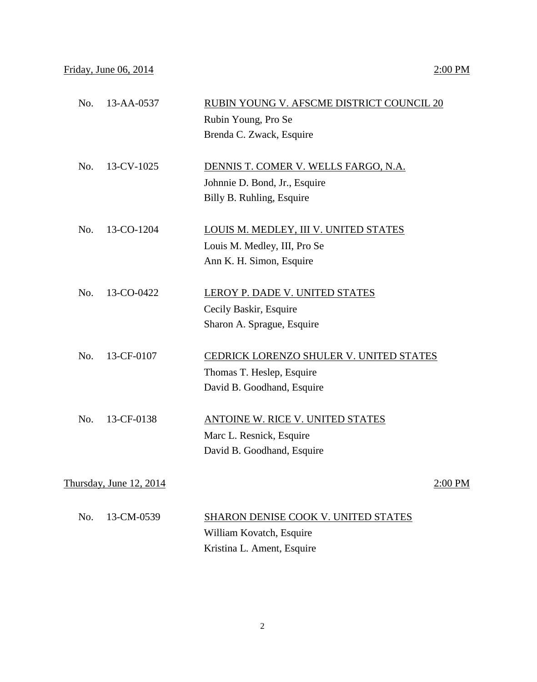| No.          | 13-AA-0537              | RUBIN YOUNG V. AFSCME DISTRICT COUNCIL 20 |  |
|--------------|-------------------------|-------------------------------------------|--|
|              |                         | Rubin Young, Pro Se                       |  |
|              |                         | Brenda C. Zwack, Esquire                  |  |
| No.          | 13-CV-1025              |                                           |  |
|              |                         | DENNIS T. COMER V. WELLS FARGO, N.A.      |  |
|              |                         | Johnnie D. Bond, Jr., Esquire             |  |
|              |                         | Billy B. Ruhling, Esquire                 |  |
| No.          | 13-CO-1204              | LOUIS M. MEDLEY, III V. UNITED STATES     |  |
|              |                         | Louis M. Medley, III, Pro Se              |  |
|              |                         | Ann K. H. Simon, Esquire                  |  |
| No.          | 13-CO-0422              | LEROY P. DADE V. UNITED STATES            |  |
|              |                         | Cecily Baskir, Esquire                    |  |
|              |                         | Sharon A. Sprague, Esquire                |  |
| No.          | 13-CF-0107              | CEDRICK LORENZO SHULER V. UNITED STATES   |  |
|              |                         | Thomas T. Heslep, Esquire                 |  |
|              |                         | David B. Goodhand, Esquire                |  |
| No.          | 13-CF-0138              | <b>ANTOINE W. RICE V. UNITED STATES</b>   |  |
|              |                         | Marc L. Resnick, Esquire                  |  |
|              |                         | David B. Goodhand, Esquire                |  |
|              |                         |                                           |  |
|              | Thursday, June 12, 2014 | 2:00 PM                                   |  |
| $N_{\Omega}$ | $13$ <sub>CM</sub> 0530 | SHARON DENISE COOK V - UNITED STATES      |  |

| No. 13-CM-0539 | <b>SHARON DENISE COOK V. UNITED STATES</b> |  |
|----------------|--------------------------------------------|--|
|                | William Kovatch, Esquire                   |  |
|                | Kristina L. Ament, Esquire                 |  |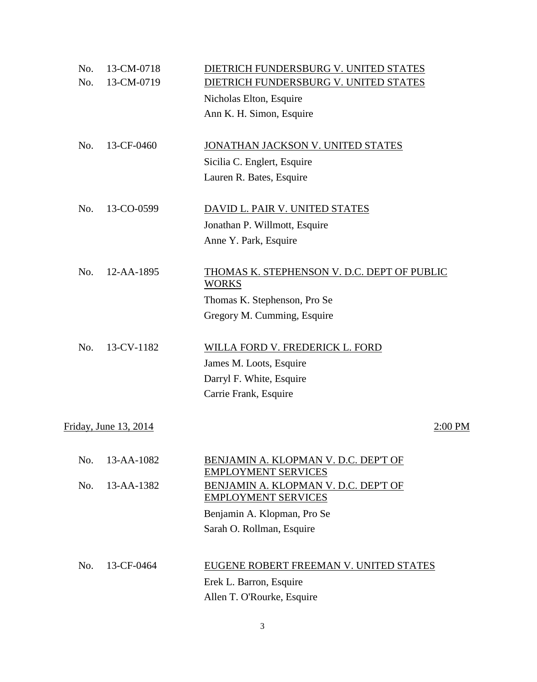| No. | 13-CM-0718            | DIETRICH FUNDERSBURG V. UNITED STATES                              |
|-----|-----------------------|--------------------------------------------------------------------|
| No. | 13-CM-0719            | DIETRICH FUNDERSBURG V. UNITED STATES                              |
|     |                       | Nicholas Elton, Esquire                                            |
|     |                       | Ann K. H. Simon, Esquire                                           |
| No. | 13-CF-0460            | JONATHAN JACKSON V. UNITED STATES                                  |
|     |                       | Sicilia C. Englert, Esquire                                        |
|     |                       | Lauren R. Bates, Esquire                                           |
| No. | 13-CO-0599            | DAVID L. PAIR V. UNITED STATES                                     |
|     |                       | Jonathan P. Willmott, Esquire                                      |
|     |                       | Anne Y. Park, Esquire                                              |
| No. | 12-AA-1895            | THOMAS K. STEPHENSON V. D.C. DEPT OF PUBLIC<br><b>WORKS</b>        |
|     |                       | Thomas K. Stephenson, Pro Se                                       |
|     |                       | Gregory M. Cumming, Esquire                                        |
| No. | 13-CV-1182            | WILLA FORD V. FREDERICK L. FORD                                    |
|     |                       | James M. Loots, Esquire                                            |
|     |                       | Darryl F. White, Esquire                                           |
|     |                       | Carrie Frank, Esquire                                              |
|     | Friday, June 13, 2014 | $2:00$ PM                                                          |
| No. | 13-AA-1082            | BENJAMIN A. KLOPMAN V. D.C. DEP'T OF<br><b>EMPLOYMENT SERVICES</b> |
| No. | 13-AA-1382            | BENJAMIN A. KLOPMAN V. D.C. DEP'T OF<br><b>EMPLOYMENT SERVICES</b> |
|     |                       | Benjamin A. Klopman, Pro Se                                        |
|     |                       | Sarah O. Rollman, Esquire                                          |
| No. | 13-CF-0464            | EUGENE ROBERT FREEMAN V. UNITED STATES                             |
|     |                       | Erek L. Barron, Esquire                                            |
|     |                       | Allen T. O'Rourke, Esquire                                         |

3